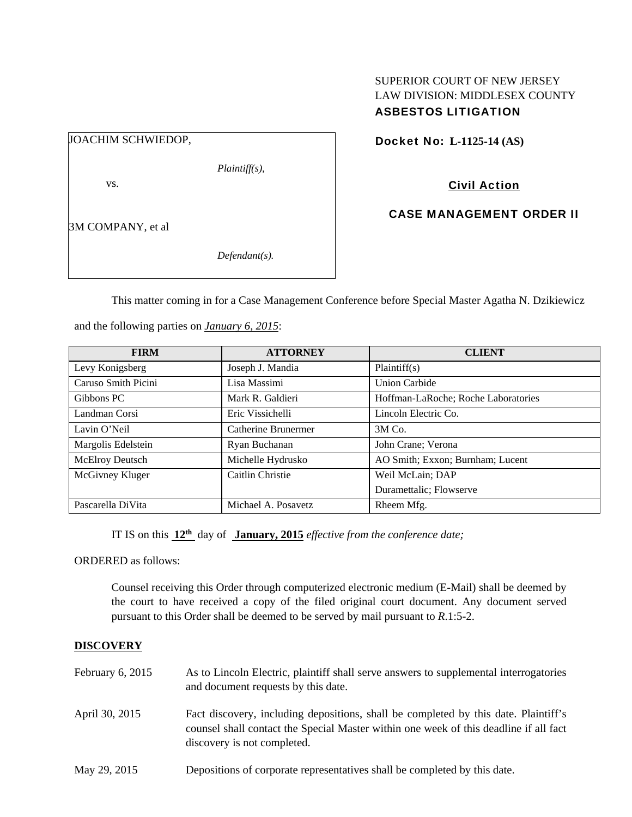## SUPERIOR COURT OF NEW JERSEY LAW DIVISION: MIDDLESEX COUNTY ASBESTOS LITIGATION

| JOACHIM SCHWIEDOP, |                  |
|--------------------|------------------|
|                    | $Plaintiff(s)$ , |
| VS.                |                  |
|                    |                  |
| 3M COMPANY, et al  |                  |
|                    | $Defendant(s)$ . |
|                    |                  |

Docket No: **L-1125-14 (AS)** 

Civil Action

CASE MANAGEMENT ORDER II

This matter coming in for a Case Management Conference before Special Master Agatha N. Dzikiewicz

| <b>FIRM</b>         | <b>ATTORNEY</b>     | <b>CLIENT</b>                       |
|---------------------|---------------------|-------------------------------------|
| Levy Konigsberg     | Joseph J. Mandia    | Plaintiff(s)                        |
| Caruso Smith Picini | Lisa Massimi        | Union Carbide                       |
| Gibbons PC          | Mark R. Galdieri    | Hoffman-LaRoche; Roche Laboratories |
| Landman Corsi       | Eric Vissichelli    | Lincoln Electric Co.                |
| Lavin O'Neil        | Catherine Brunermer | $3M$ Co.                            |
| Margolis Edelstein  | Ryan Buchanan       | John Crane; Verona                  |
| McElroy Deutsch     | Michelle Hydrusko   | AO Smith; Exxon; Burnham; Lucent    |
| McGivney Kluger     | Caitlin Christie    | Weil McLain; DAP                    |
|                     |                     | Duramettalic; Flowserve             |
| Pascarella DiVita   | Michael A. Posavetz | Rheem Mfg.                          |

and the following parties on *January 6, 2015*:

IT IS on this **12th** day of **January, 2015** *effective from the conference date;*

ORDERED as follows:

Counsel receiving this Order through computerized electronic medium (E-Mail) shall be deemed by the court to have received a copy of the filed original court document. Any document served pursuant to this Order shall be deemed to be served by mail pursuant to *R*.1:5-2.

# **DISCOVERY**

| February $6, 2015$ | As to Lincoln Electric, plaintiff shall serve answers to supplemental interrogatories<br>and document requests by this date.                                                                                |
|--------------------|-------------------------------------------------------------------------------------------------------------------------------------------------------------------------------------------------------------|
| April 30, 2015     | Fact discovery, including depositions, shall be completed by this date. Plaintiff's<br>counsel shall contact the Special Master within one week of this deadline if all fact<br>discovery is not completed. |
| May 29, 2015       | Depositions of corporate representatives shall be completed by this date.                                                                                                                                   |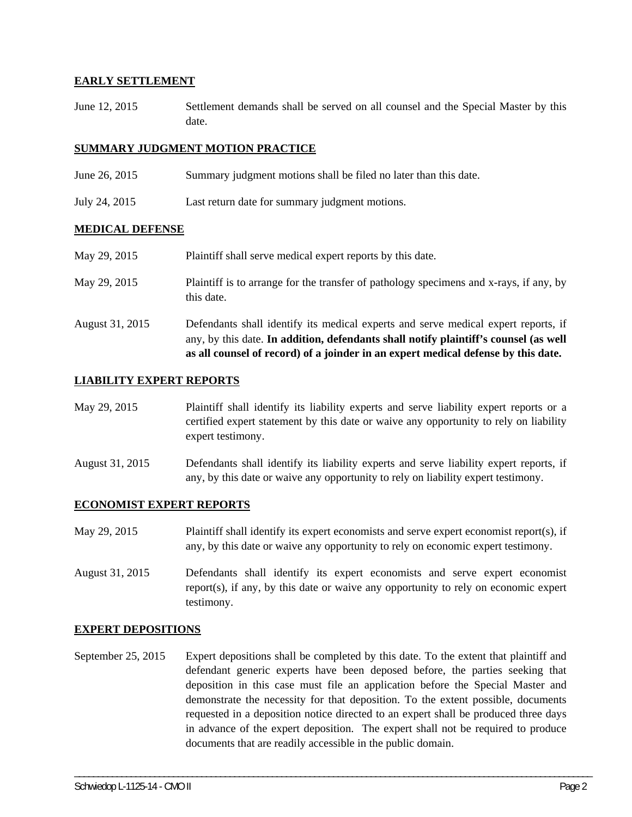### **EARLY SETTLEMENT**

June 12, 2015 Settlement demands shall be served on all counsel and the Special Master by this date.

## **SUMMARY JUDGMENT MOTION PRACTICE**

- June 26, 2015 Summary judgment motions shall be filed no later than this date.
- July 24, 2015 Last return date for summary judgment motions.

### **MEDICAL DEFENSE**

May 29, 2015 Plaintiff shall serve medical expert reports by this date. May 29, 2015 Plaintiff is to arrange for the transfer of pathology specimens and x-rays, if any, by this date. August 31, 2015 Defendants shall identify its medical experts and serve medical expert reports, if any, by this date. **In addition, defendants shall notify plaintiff's counsel (as well** 

**as all counsel of record) of a joinder in an expert medical defense by this date.** 

# **LIABILITY EXPERT REPORTS**

- May 29, 2015 Plaintiff shall identify its liability experts and serve liability expert reports or a certified expert statement by this date or waive any opportunity to rely on liability expert testimony.
- August 31, 2015 Defendants shall identify its liability experts and serve liability expert reports, if any, by this date or waive any opportunity to rely on liability expert testimony.

### **ECONOMIST EXPERT REPORTS**

- May 29, 2015 Plaintiff shall identify its expert economists and serve expert economist report(s), if any, by this date or waive any opportunity to rely on economic expert testimony.
- August 31, 2015 Defendants shall identify its expert economists and serve expert economist report(s), if any, by this date or waive any opportunity to rely on economic expert testimony.

### **EXPERT DEPOSITIONS**

September 25, 2015 Expert depositions shall be completed by this date. To the extent that plaintiff and defendant generic experts have been deposed before, the parties seeking that deposition in this case must file an application before the Special Master and demonstrate the necessity for that deposition. To the extent possible, documents requested in a deposition notice directed to an expert shall be produced three days in advance of the expert deposition. The expert shall not be required to produce documents that are readily accessible in the public domain.

\_\_\_\_\_\_\_\_\_\_\_\_\_\_\_\_\_\_\_\_\_\_\_\_\_\_\_\_\_\_\_\_\_\_\_\_\_\_\_\_\_\_\_\_\_\_\_\_\_\_\_\_\_\_\_\_\_\_\_\_\_\_\_\_\_\_\_\_\_\_\_\_\_\_\_\_\_\_\_\_\_\_\_\_\_\_\_\_\_\_\_\_\_\_\_\_\_\_\_\_\_\_\_\_\_\_\_\_\_\_